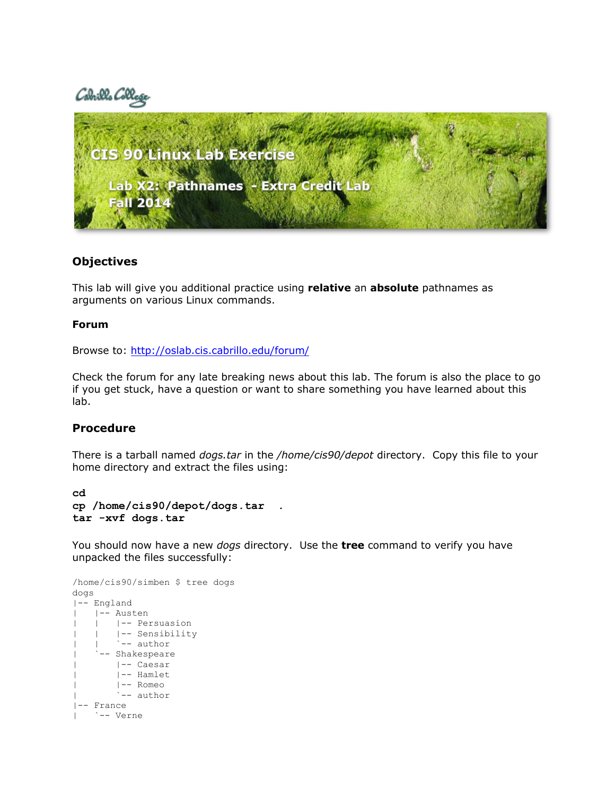# Cabrills Col



## **Objectives**

This lab will give you additional practice using **relative** an **absolute** pathnames as arguments on various Linux commands.

## **Forum**

Browse to:<http://oslab.cis.cabrillo.edu/forum/>

Check the forum for any late breaking news about this lab. The forum is also the place to go if you get stuck, have a question or want to share something you have learned about this lab.

## **Procedure**

There is a tarball named *dogs.tar* in the */home/cis90/depot* directory. Copy this file to your home directory and extract the files using:

**cd cp /home/cis90/depot/dogs.tar . tar -xvf dogs.tar**

You should now have a new *dogs* directory. Use the **tree** command to verify you have unpacked the files successfully:

```
/home/cis90/simben $ tree dogs
dogs
|-- England
| |-- Austen
    | | |-- Persuasion
       | | |-- Sensibility
        `-- author
     -- Shakespeare
       | |-- Caesar
       | |-- Hamlet
       | |-- Romeo
| `-- author
|-- France
| `-- Verne
```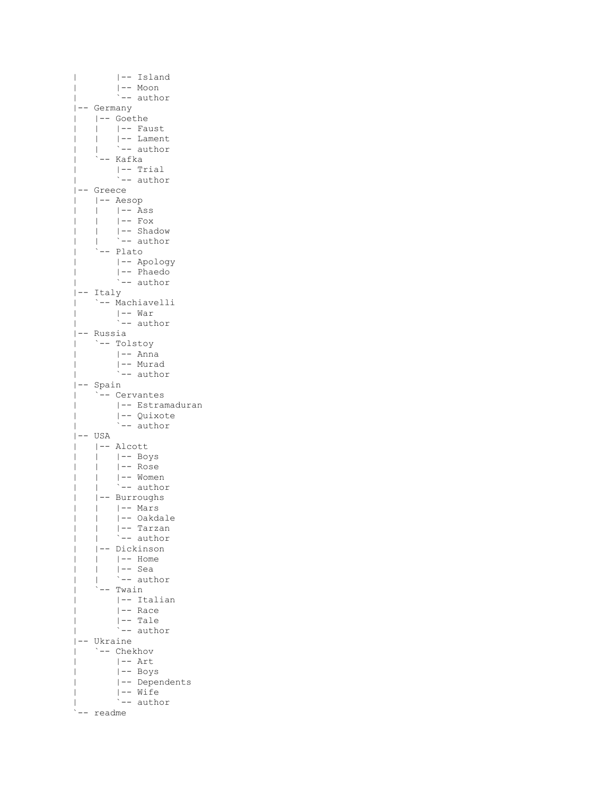```
| |-- Island
| |-- Moon
| `-- author
|-- Germany
| |-- Goethe
| | |-- Faust
| | |-- Lament
| | `-- author
| | `-- au<br>| `-- Kafka
| |-- Trial
| `-- author
|-- Greece
| |-- Aesop
| | |-- Ass
| | |-- Fox
| | |-- Shadow
| | `-- author
| `-- Plato
| |-- Apology
| |-- Phaedo
| `-- author
|-- Italy
| `-- Machiavelli
| |-- War
| `-- author
|-- Russia
| `-- Tolstoy
| |-- Anna
| |-- Murad
| `-- author
|-- Spain
| `-- Cervantes
     | |-- Estramaduran
| |-- Quixote
| `-- author
|--- USA
| |-- Alcott
| | |-- Boys
| | |-- Rose
| | |-- Women
| | `-- author
| |-- Burroughs
| | |-- Mars
| | |-- Oakdale
| | |-- Tarzan
| | `-- author
| |-- Dickinson
| | |-- Home
| | |-- Sea
| | `-- author
| `-- Twain
| |-- Italian
| |-- Race
| |-- Tale
| `-- author
|-- Ukraine
| `-- Chekhov
     | |-- Art
| |-- Boys
| |-- Dependents
| |-- Wife
      | `-- author
`-- readme
```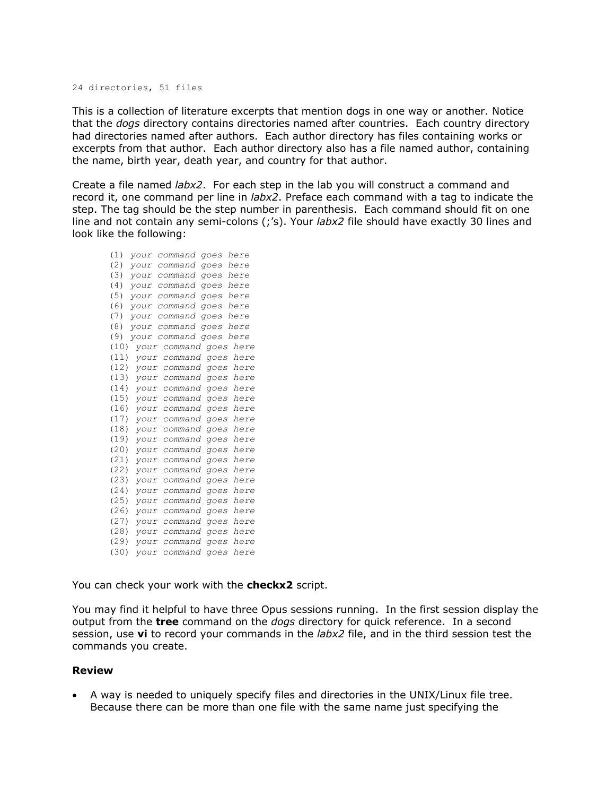#### 24 directories, 51 files

This is a collection of literature excerpts that mention dogs in one way or another. Notice that the *dogs* directory contains directories named after countries. Each country directory had directories named after authors. Each author directory has files containing works or excerpts from that author. Each author directory also has a file named author, containing the name, birth year, death year, and country for that author.

Create a file named *labx2*. For each step in the lab you will construct a command and record it, one command per line in *labx2*. Preface each command with a tag to indicate the step. The tag should be the step number in parenthesis. Each command should fit on one line and not contain any semi-colons (;'s). Your *labx2* file should have exactly 30 lines and look like the following:

(1) *your command goes here* (2) *your command goes here* (3) *your command goes here* (4) *your command goes here* (5) *your command goes here* (6) *your command goes here* (7) *your command goes here* (8) *your command goes here* (9) *your command goes here* (10) *your command goes here* (11) *your command goes here* (12) *your command goes here* (13) *your command goes here* (14) *your command goes here* (15) *your command goes here* (16) *your command goes here* (17) *your command goes here* (18) *your command goes here* (19) *your command goes here* (20) *your command goes here* (21) *your command goes here* (22) *your command goes here* (23) *your command goes here* (24) *your command goes here* (25) *your command goes here* (26) *your command goes here* (27) *your command goes here* (28) *your command goes here* (29) *your command goes here* (30) *your command goes here*

You can check your work with the **checkx2** script.

You may find it helpful to have three Opus sessions running. In the first session display the output from the **tree** command on the *dogs* directory for quick reference. In a second session, use **vi** to record your commands in the *labx2* file, and in the third session test the commands you create.

### **Review**

 A way is needed to uniquely specify files and directories in the UNIX/Linux file tree. Because there can be more than one file with the same name just specifying the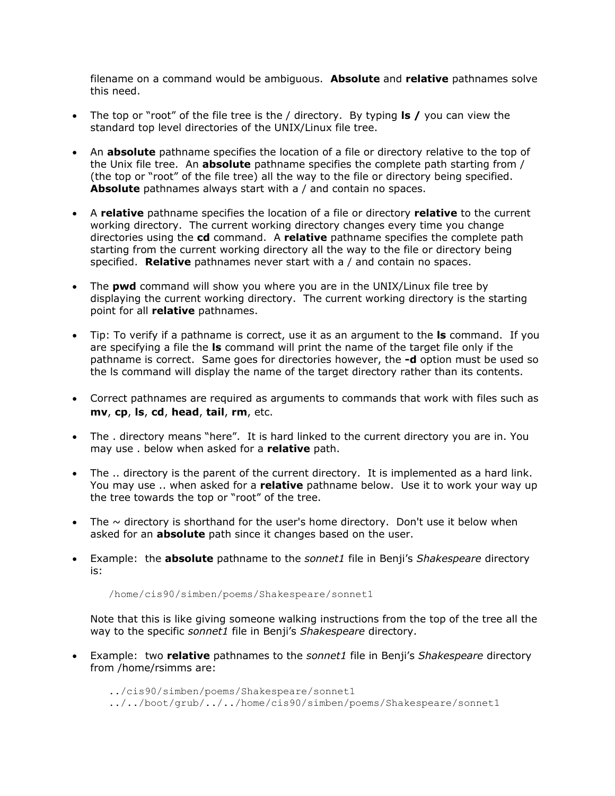filename on a command would be ambiguous. **Absolute** and **relative** pathnames solve this need.

- The top or "root" of the file tree is the / directory. By typing **ls /** you can view the standard top level directories of the UNIX/Linux file tree.
- An **absolute** pathname specifies the location of a file or directory relative to the top of the Unix file tree. An **absolute** pathname specifies the complete path starting from / (the top or "root" of the file tree) all the way to the file or directory being specified. **Absolute** pathnames always start with a / and contain no spaces.
- A **relative** pathname specifies the location of a file or directory **relative** to the current working directory. The current working directory changes every time you change directories using the **cd** command. A **relative** pathname specifies the complete path starting from the current working directory all the way to the file or directory being specified. **Relative** pathnames never start with a / and contain no spaces.
- The **pwd** command will show you where you are in the UNIX/Linux file tree by displaying the current working directory. The current working directory is the starting point for all **relative** pathnames.
- Tip: To verify if a pathname is correct, use it as an argument to the **ls** command. If you are specifying a file the **ls** command will print the name of the target file only if the pathname is correct. Same goes for directories however, the **-d** option must be used so the ls command will display the name of the target directory rather than its contents.
- Correct pathnames are required as arguments to commands that work with files such as **mv**, **cp**, **ls**, **cd**, **head**, **tail**, **rm**, etc.
- The . directory means "here". It is hard linked to the current directory you are in. You may use . below when asked for a **relative** path.
- The .. directory is the parent of the current directory. It is implemented as a hard link. You may use .. when asked for a **relative** pathname below. Use it to work your way up the tree towards the top or "root" of the tree.
- The  $\sim$  directory is shorthand for the user's home directory. Don't use it below when asked for an **absolute** path since it changes based on the user.
- Example: the **absolute** pathname to the *sonnet1* file in Benji's *Shakespeare* directory is:

/home/cis90/simben/poems/Shakespeare/sonnet1

Note that this is like giving someone walking instructions from the top of the tree all the way to the specific *sonnet1* file in Benji's *Shakespeare* directory.

 Example: two **relative** pathnames to the *sonnet1* file in Benji's *Shakespeare* directory from /home/rsimms are:

../cis90/simben/poems/Shakespeare/sonnet1

../../boot/grub/../../home/cis90/simben/poems/Shakespeare/sonnet1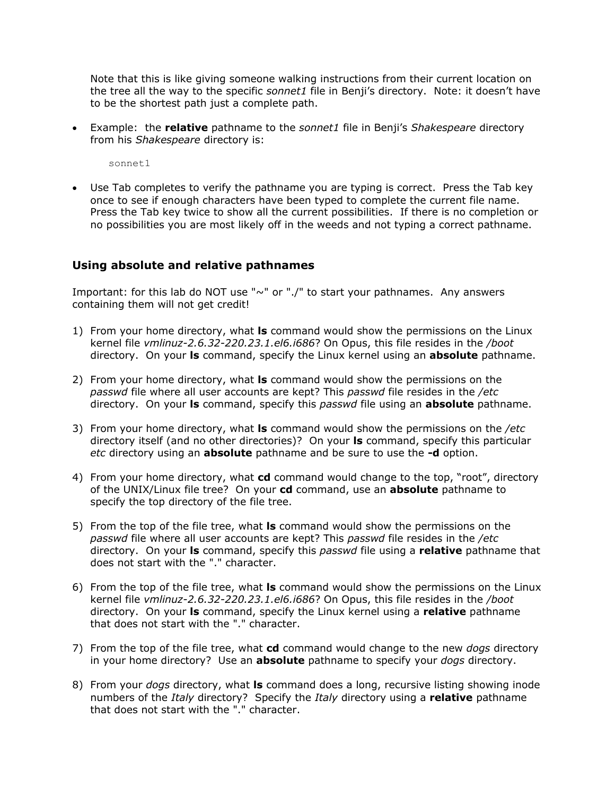Note that this is like giving someone walking instructions from their current location on the tree all the way to the specific *sonnet1* file in Benji's directory. Note: it doesn't have to be the shortest path just a complete path.

 Example: the **relative** pathname to the *sonnet1* file in Benji's *Shakespeare* directory from his *Shakespeare* directory is:

sonnet1

 Use Tab completes to verify the pathname you are typing is correct. Press the Tab key once to see if enough characters have been typed to complete the current file name. Press the Tab key twice to show all the current possibilities. If there is no completion or no possibilities you are most likely off in the weeds and not typing a correct pathname.

## **Using absolute and relative pathnames**

Important: for this lab do NOT use "~" or "./" to start your pathnames. Any answers containing them will not get credit!

- 1) From your home directory, what **ls** command would show the permissions on the Linux kernel file *vmlinuz-2.6.32-220.23.1.el6.i686*? On Opus, this file resides in the */boot* directory. On your **ls** command, specify the Linux kernel using an **absolute** pathname.
- 2) From your home directory, what **ls** command would show the permissions on the *passwd* file where all user accounts are kept? This *passwd* file resides in the */etc* directory. On your **ls** command, specify this *passwd* file using an **absolute** pathname.
- 3) From your home directory, what **ls** command would show the permissions on the */etc* directory itself (and no other directories)? On your **ls** command, specify this particular *etc* directory using an **absolute** pathname and be sure to use the **-d** option.
- 4) From your home directory, what **cd** command would change to the top, "root", directory of the UNIX/Linux file tree? On your **cd** command, use an **absolute** pathname to specify the top directory of the file tree.
- 5) From the top of the file tree, what **ls** command would show the permissions on the *passwd* file where all user accounts are kept? This *passwd* file resides in the */etc* directory. On your **ls** command, specify this *passwd* file using a **relative** pathname that does not start with the "." character.
- 6) From the top of the file tree, what **ls** command would show the permissions on the Linux kernel file *vmlinuz-2.6.32-220.23.1.el6.i686*? On Opus, this file resides in the */boot* directory. On your **ls** command, specify the Linux kernel using a **relative** pathname that does not start with the "." character.
- 7) From the top of the file tree, what **cd** command would change to the new *dogs* directory in your home directory? Use an **absolute** pathname to specify your *dogs* directory.
- 8) From your *dogs* directory, what **ls** command does a long, recursive listing showing inode numbers of the *Italy* directory? Specify the *Italy* directory using a **relative** pathname that does not start with the "." character.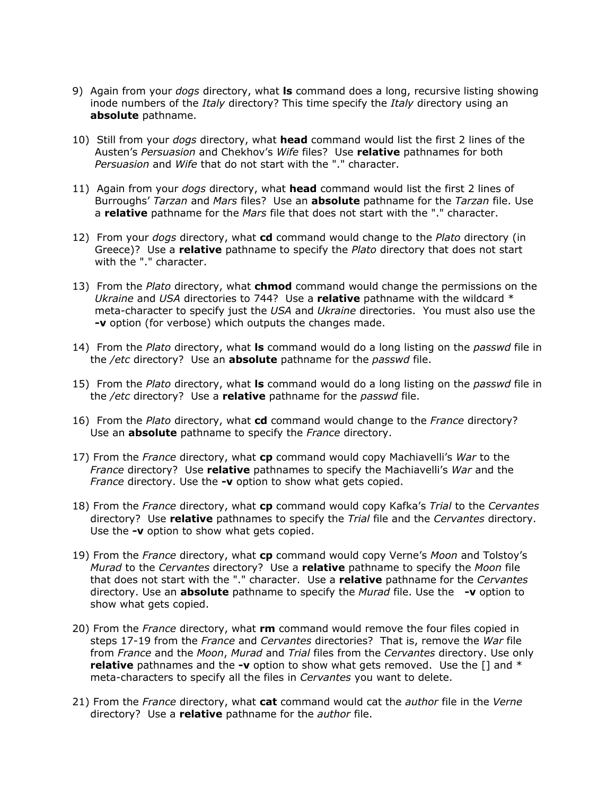- 9) Again from your *dogs* directory, what **ls** command does a long, recursive listing showing inode numbers of the *Italy* directory? This time specify the *Italy* directory using an **absolute** pathname.
- 10) Still from your *dogs* directory, what **head** command would list the first 2 lines of the Austen's *Persuasion* and Chekhov's *Wife* files? Use **relative** pathnames for both *Persuasion* and *Wife* that do not start with the "." character.
- 11) Again from your *dogs* directory, what **head** command would list the first 2 lines of Burroughs' *Tarzan* and *Mars* files? Use an **absolute** pathname for the *Tarzan* file. Use a **relative** pathname for the *Mars* file that does not start with the "." character.
- 12) From your *dogs* directory, what **cd** command would change to the *Plato* directory (in Greece)? Use a **relative** pathname to specify the *Plato* directory that does not start with the "." character.
- 13) From the *Plato* directory, what **chmod** command would change the permissions on the *Ukraine* and *USA* directories to 744? Use a **relative** pathname with the wildcard \* meta-character to specify just the *USA* and *Ukraine* directories. You must also use the **-v** option (for verbose) which outputs the changes made.
- 14) From the *Plato* directory, what **ls** command would do a long listing on the *passwd* file in the */etc* directory? Use an **absolute** pathname for the *passwd* file.
- 15) From the *Plato* directory, what **ls** command would do a long listing on the *passwd* file in the */etc* directory? Use a **relative** pathname for the *passwd* file.
- 16) From the *Plato* directory, what **cd** command would change to the *France* directory? Use an **absolute** pathname to specify the *France* directory.
- 17) From the *France* directory, what **cp** command would copy Machiavelli's *War* to the *France* directory? Use **relative** pathnames to specify the Machiavelli's *War* and the *France* directory. Use the **-v** option to show what gets copied.
- 18) From the *France* directory, what **cp** command would copy Kafka's *Trial* to the *Cervantes* directory? Use **relative** pathnames to specify the *Trial* file and the *Cervantes* directory. Use the **-v** option to show what gets copied.
- 19) From the *France* directory, what **cp** command would copy Verne's *Moon* and Tolstoy's *Murad* to the *Cervantes* directory? Use a **relative** pathname to specify the *Moon* file that does not start with the "." character. Use a **relative** pathname for the *Cervantes* directory. Use an **absolute** pathname to specify the *Murad* file. Use the **-v** option to show what gets copied.
- 20) From the *France* directory, what **rm** command would remove the four files copied in steps 17-19 from the *France* and *Cervantes* directories? That is, remove the *War* file from *France* and the *Moon*, *Murad* and *Trial* files from the *Cervantes* directory. Use only **relative** pathnames and the **-v** option to show what gets removed. Use the [] and \* meta-characters to specify all the files in *Cervantes* you want to delete.
- 21) From the *France* directory, what **cat** command would cat the *author* file in the *Verne* directory? Use a **relative** pathname for the *author* file.